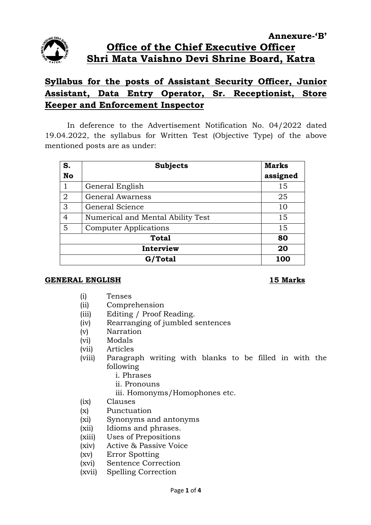

# **Syllabus for the posts of Assistant Security Officer, Junior Assistant, Data Entry Operator, Sr. Receptionist, Store Keeper and Enforcement Inspector**

In deference to the Advertisement Notification No. 04/2022 dated 19.04.2022, the syllabus for Written Test (Objective Type) of the above mentioned posts are as under:

| S.             | <b>Subjects</b>                   | <b>Marks</b> |
|----------------|-----------------------------------|--------------|
| <b>No</b>      |                                   | assigned     |
|                | General English                   | 15           |
| $\overline{2}$ | <b>General Awarness</b>           | 25           |
| 3              | General Science                   | 10           |
| $\overline{4}$ | Numerical and Mental Ability Test | 15           |
| 5              | <b>Computer Applications</b>      | 15           |
| <b>Total</b>   |                                   | 80           |
| Interview      |                                   | 20           |
| G/Total        |                                   | 100          |

### **GENERAL ENGLISH 15 Marks**

- (i) Tenses
- (ii) Comprehension
- (iii) Editing / Proof Reading.
- (iv) Rearranging of jumbled sentences
- (v) Narration
- (vi) Modals
- (vii) Articles
- (viii) Paragraph writing with blanks to be filled in with the following
	- i. Phrases
	- ii. Pronouns
	- iii. Homonyms/Homophones etc.
- (ix) Clauses
- (x) Punctuation
- (xi) Synonyms and antonyms
- (xii) Idioms and phrases.
- (xiii) Uses of Prepositions
- (xiv) Active & Passive Voice
- (xv) Error Spotting
- (xvi) Sentence Correction
- (xvii) Spelling Correction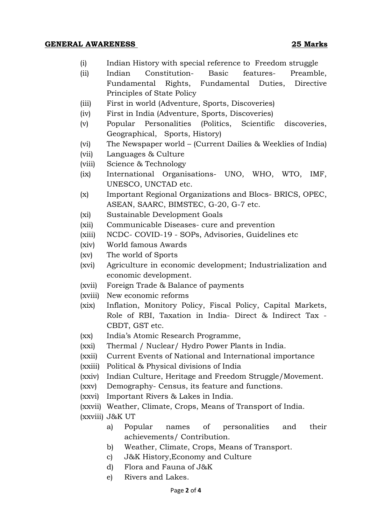### **GENERAL AWARENESS 25 Marks**

- (i) Indian History with special reference to Freedom struggle
- (ii) Indian Constitution- Basic features- Preamble, Fundamental Rights, Fundamental Duties, Directive Principles of State Policy
- (iii) First in world (Adventure, Sports, Discoveries)
- (iv) First in India (Adventure, Sports, Discoveries)
- (v) Popular Personalities (Politics, Scientific discoveries, Geographical, Sports, History)
- (vi) The Newspaper world (Current Dailies & Weeklies of India)
- (vii) Languages & Culture
- (viii) Science & Technology
- (ix) International Organisations- UNO, WHO, WTO, IMF, UNESCO, UNCTAD etc.
- (x) Important Regional Organizations and Blocs- BRICS, OPEC, ASEAN, SAARC, BIMSTEC, G-20, G-7 etc.
- (xi) Sustainable Development Goals
- (xii) Communicable Diseases- cure and prevention
- (xiii) NCDC- COVID-19 SOPs, Advisories, Guidelines etc
- (xiv) World famous Awards
- (xv) The world of Sports
- (xvi) Agriculture in economic development; Industrialization and economic development.
- (xvii) Foreign Trade & Balance of payments
- (xviii) New economic reforms
- (xix) Inflation, Monitory Policy, Fiscal Policy, Capital Markets, Role of RBI, Taxation in India- Direct & Indirect Tax - CBDT, GST etc.
- (xx) India's Atomic Research Programme,
- (xxi) Thermal / Nuclear/ Hydro Power Plants in India.
- (xxii) Current Events of National and International importance
- (xxiii) Political & Physical divisions of India
- (xxiv) Indian Culture, Heritage and Freedom Struggle/Movement.
- (xxv) Demography- Census, its feature and functions.
- (xxvi) Important Rivers & Lakes in India.
- (xxvii) Weather, Climate, Crops, Means of Transport of India.

(xxviii) J&K UT

- a) Popular names of personalities and their achievements/ Contribution.
- b) Weather, Climate, Crops, Means of Transport.
- c) J&K History,Economy and Culture
- d) Flora and Fauna of J&K
- e) Rivers and Lakes.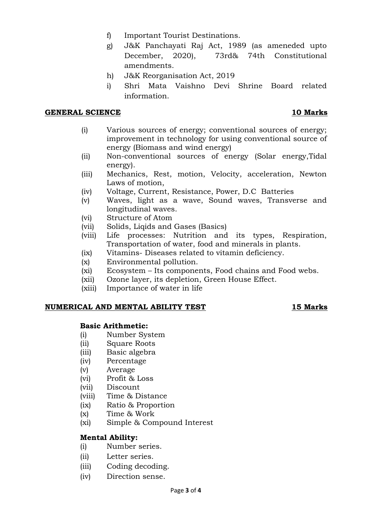- f) Important Tourist Destinations.
- g) J&K Panchayati Raj Act, 1989 (as ameneded upto December, 2020), 73rd& 74th Constitutional amendments.
- h) J&K Reorganisation Act, 2019
- i) Shri Mata Vaishno Devi Shrine Board related information.

### **GENERAL SCIENCE 10 Marks**

- (i) Various sources of energy; conventional sources of energy; improvement in technology for using conventional source of energy (Biomass and wind energy)
- (ii) Non-conventional sources of energy (Solar energy,Tidal energy).
- (iii) Mechanics, Rest, motion, Velocity, acceleration, Newton Laws of motion,
- (iv) Voltage, Current, Resistance, Power, D.C Batteries
- (v) Waves, light as a wave, Sound waves, Transverse and longitudinal waves.
- (vi) Structure of Atom
- (vii) Solids, Liqids and Gases (Basics)
- (viii) Life processes: Nutrition and its types, Respiration, Transportation of water, food and minerals in plants.
- (ix) Vitamins- Diseases related to vitamin deficiency.
- (x) Environmental pollution.
- (xi) Ecosystem Its components, Food chains and Food webs.
- (xii) Ozone layer, its depletion, Green House Effect.
- (xiii) Importance of water in life

### **NUMERICAL AND MENTAL ABILITY TEST 15 Marks**

### **Basic Arithmetic:**

- (i) Number System
- (ii) Square Roots
- (iii) Basic algebra
- (iv) Percentage
- (v) Average
- (vi) Profit & Loss
- (vii) Discount
- (viii) Time & Distance
- (ix) Ratio & Proportion
- (x) Time & Work
- (xi) Simple & Compound Interest

# **Mental Ability:**

- (i) Number series.
- (ii) Letter series.
- (iii) Coding decoding.
- (iv) Direction sense.